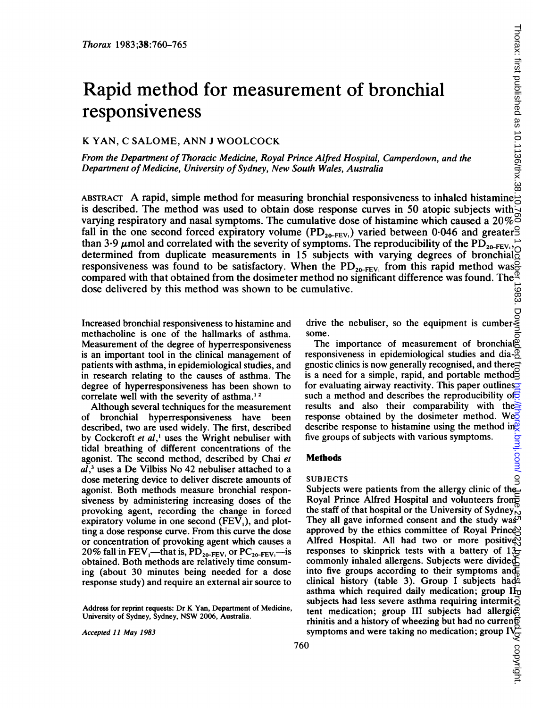# Rapid method for measurement of bronchial responsiveness

## K YAN, C SALOME, ANN <sup>J</sup> WOOLCOCK

From the Department of Thoracic Medicine, Royal Prince Alfred Hospital, Camperdown, and the Department of Medicine, University of Sydney, New South Wales, Australia

ABSTRACT A rapid, simple method for measuring bronchial responsiveness to inhaled histamine is described. The method was used to obtain dose response curves in 50 atopic subjects with varying respiratory and nasal symptoms. The cumulative dose of histamine which caused a 20% fall in the one second forced expiratory volume  $(PD_{20-FEV_1})$  varied between 0.046 and greater than 3.9  $\mu$ mol and correlated with the severity of symptoms. The reproducibility of the PD<sub>20-FEV</sub>, determined from duplicate measurements in 15 subjects with varying degrees of bronchial responsiveness was found to be satisfactory. When the  $PD_{20-FEV_1}$  from this rapid method was compared with that obtained from the dosimeter method no significant difference was found. The dose delivered by this method was shown to be cumulative.

Increased bronchial responsiveness to histamine and methacholine is one of the hallmarks of asthma. Measurement of the degree of hyperresponsiveness is an important tool in the clinical management of patients with asthma, in epidemiological studies, and in research relating to the causes of asthma. The degree of hyperresponsiveness has been shown to correlate well with the severity of asthma.<sup>12</sup>

Although several techniques for the measurement of bronchial hyperresponsiveness have been described, two are used widely. The first, described by Cockcroft et al,' uses the Wright nebuliser with tidal breathing of different concentrations of the agonist. The second method, described by Chai et  $al<sup>3</sup>$  uses a De Vilbiss No 42 nebuliser attached to a dose metering device to deliver discrete amounts of agonist. Both methods measure bronchial responsiveness by administering increasing doses of the provoking agent, recording the change in forced expiratory volume in one second  $(FEV<sub>1</sub>)$ , and plotting a dose response curve. From this curve the dose or concentration of provoking agent which causes a 20% fall in  $FEV_1$ —that is,  $PD_{20-FEV_1}$  or  $PC_{20-FEV_1}$ —is obtained. Both methods are relatively time consuming (about 30 minutes being needed for a dose response study) and require an external air source to

Address for reprint requests: Dr K Yan, Department of Medicine, University of Sydney, Sydney, NSW 2006, Australia.

Accepted 11 May 1983

drive the nebuliser, so the equipment is cumber-<br>C C<br>drive the nebuliser, so the equipment is cumbersome.

The importance of measurement of bronchial responsiveness in epidemiological studies and dia- $\overline{2}$ gnostic clinics is now generally recognised, and there $\pm$ is a need for a simple, rapid, and portable method for evaluating airway reactivity. This paper outlines such a method and describes the reproducibility of  $\overline{6}$ results and also their comparability with the response obtained by the dosimeter method. Weo describe response to histamine using the method in five groups of subjects with various symptoms.

#### Methods

#### SUBJECTS

Subjects were patients from the allergy clinic of the Royal Prince Alfred Hospital and volunteers from the staff of that hospital or the University of Sydney. They all gave informed consent and the study was  $\mathcal{F}$ approved by the ethics committee of Royal Prince Alfred Hospital. All had two or more positive responses to skinprick tests with a battery of  $13\overline{)}$ commonly inhaled allergens. Subjects were divided into five groups according to their symptoms and clinical history (table 3). Group I subjects had asthma which required daily medication; group  $\mathbf{I}_{\mathbf{U}}$ subjects had less severe asthma requiring intermit $\vec{o}$ tent medication; group III subjects had allergi $\mathcal{P}$ rhinitis and a history of wheezing but had no current symptoms and were taking no medication; group  $IV<sub>c</sub>$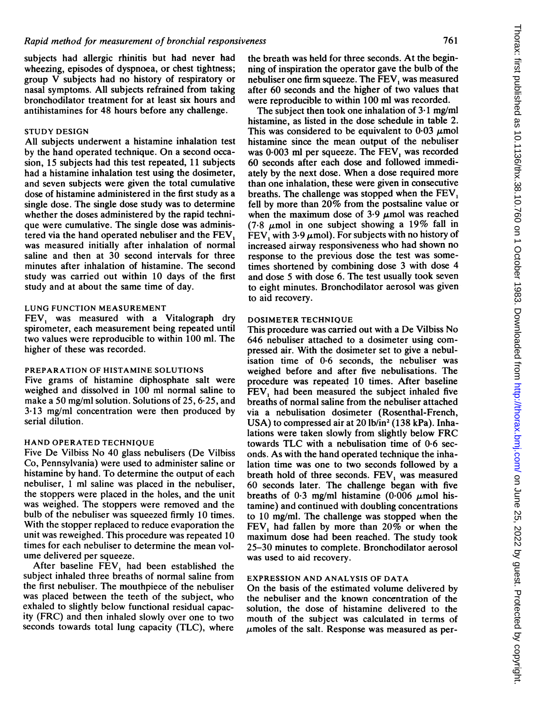subjects had allergic rhinitis but had never had wheezing, episodes of dyspnoea, or chest tightness; group V subjects had no history of respiratory or nasal symptoms. All subjects refrained from taking bronchodilator treatment for at least six hours and antihistamines for 48 hours before any challenge.

#### STUDY DESIGN

All subjects underwent a histamine inhalation test by the hand operated technique. On <sup>a</sup> second occasion, 15 subjects had this test repeated, 11 subjects had a histamine inhalation test using the dosimeter, and seven subjects were given the total cumulative dose of histamine administered in the first study as a single dose. The single dose study was to determine whether the doses administered by the rapid technique were cumulative. The single dose was administered via the hand operated nebuliser and the FEV, was measured initially after inhalation of normal saline and then at 30 second intervals for three minutes after inhalation of histamine. The second study was carried out within 10 days of the first study and at about the same time of day.

#### LUNG FUNCTION MEASUREMENT

FEV, was measured with a Vitalograph dry spirometer, each measurement being repeated until two values were reproducible to within 100 ml. The higher of these was recorded.

#### PREPARATION OF HISTAMINE SOLUTIONS

Five grams of histamine diphosphate salt were weighed and dissolved in 100 ml normal saline to make a 50 mg/ml solution. Solutions of 25, 6-25, and 3-13 mg/ml concentration were then produced by serial dilution.

#### HAND OPERATED TECHNIQUE

Five De Vilbiss No 40 glass nebulisers (De Vilbiss Co, Pennsylvania) were used to administer saline or histamine by hand. To determine the output of each nebuliser, <sup>1</sup> ml saline was placed in the nebuliser, the stoppers were placed in the holes, and the unit was weighed. The stoppers were removed and the bulb of the nebuliser was squeezed firmly 10 times. With the stopper replaced to reduce evaporation the unit was reweighed. This procedure was repeated 10 times for each nebuliser to determine the mean volume delivered per squeeze.

After baseline  $FEV$ , had been established the subject inhaled three breaths of normal saline from the first nebuliser. The mouthpiece of the nebuliser was placed between the teeth of the subject, who exhaled to slightly below functional residual capacity (FRC) and then inhaled slowly over one to two seconds towards total lung capacity (TLC), where

the breath was held for three seconds. At the beginning of inspiration the operator gave the bulb of the nebuliser one firm squeeze. The FEV, was measured after 60 seconds and the higher of two values that were reproducible to within 100 ml was recorded.

The subject then took one inhalation of  $3 \cdot 1$  mg/ml histamine, as listed in the dose schedule in table 2. This was considered to be equivalent to  $0.03 \mu$ mol histamine since the mean output of the nebuliser was 0.003 ml per squeeze. The FEV, was recorded 60 seconds after each dose and followed immediately by the next dose. When a dose required more than one inhalation, these were given in consecutive breaths. The challenge was stopped when the FEV, fell by more than 20% from the postsaline value or when the maximum dose of  $3.9 \mu$  mol was reached  $(7.8 \text{ \mu} \text{mol})$  in one subject showing a 19% fall in FEV, with 3.9  $\mu$ mol). For subjects with no history of increased airway responsiveness who had shown no response to the previous dose the test was sometimes shortened by combining dose 3 with dose 4 and dose 5 with dose 6. The test usually took seven to eight minutes. Bronchodilator aerosol was given to aid recovery.

#### DOSIMETER TECHNIQUE

This procedure was carried out with <sup>a</sup> De Vilbiss No 646 nebuliser attached to a dosimeter using compressed air. With the dosimeter set to give a nebulisation time of 0.6 seconds, the nebuliser was weighed before and after five nebulisations. The procedure was repeated 10 times. After baseline FEV, had been measured the subject inhaled five breaths of normal saline from the nebuliser attached via a nebulisation dosimeter (Rosenthal-French, USA) to compressed air at  $20$  lb/in<sup>2</sup> (138 kPa). Inhalations were taken slowly from slightly below FRC towards TLC with <sup>a</sup> nebulisation time of 0-6 seconds. As with the hand operated technique the inhalation time was one to two seconds followed by a breath hold of three seconds. FEV, was measured 60 seconds later. The challenge began with five breaths of 0.3 mg/ml histamine (0.006  $\mu$ mol histamine) and continued with doubling concentrations to 10 mg/ml. The challenge was stopped when the  $FEV<sub>1</sub>$  had fallen by more than 20% or when the maximum dose had been reached. The study took 25-30 minutes to complete. Bronchodilator aerosol was used to aid recovery.

#### EXPRESSION AND ANALYSIS OF DATA

On the basis of the estimated volume delivered by the nebuliser and the known concentration of the solution, the dose of histamine delivered to the mouth of the subject was calculated in terms of  $\mu$ moles of the salt. Response was measured as per-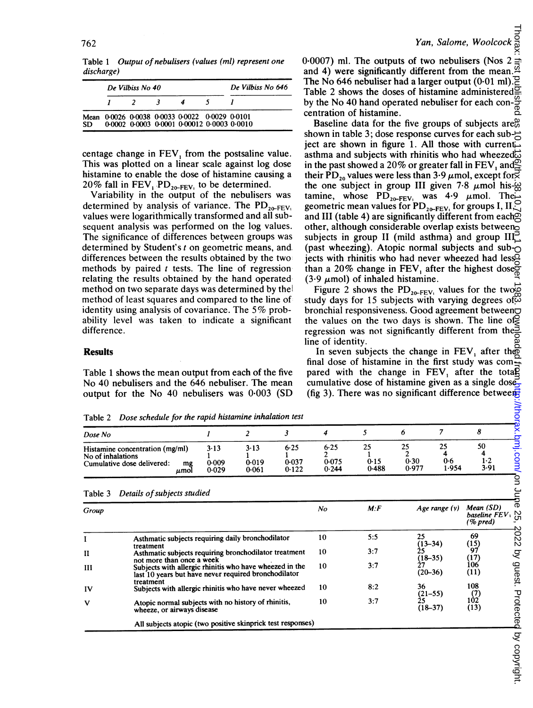Table <sup>1</sup> Output of nebulisers (values (ml) represent one discharge)

|    | De Vilbiss No 40 | De Vilbiss No 646                                                                            |  |  |
|----|------------------|----------------------------------------------------------------------------------------------|--|--|
|    |                  |                                                                                              |  |  |
| SD |                  | Mean 0-0026 0-0038 0-0033 0-0022 0-0029 0-0101<br>0.0002 0.0003 0.0001 0.00012 0.0003 0.0010 |  |  |

centage change in FEV, from the postsaline value. This was plotted on a linear scale against log dose histamine to enable the dose of histamine causing a 20% fall in  $FEV_1 PD_{20-FEV_1}$  to be determined.

Variability in the output of the nebulisers was determined by analysis of variance. The  $PD_{20-FEV_1}$ values were logarithmically transformed and all subsequent analysis was performed on the log values. The significance of differences between groups was determined by Student's t on geometric means, and, differences between the results obtained by the two methods by paired  $t$  tests. The line of regression relating the results obtained by the hand operated method on two separate days was determined by thel method of least squares and compared to the line of identity using analysis of covariance. The 5% probability level was taken to indicate a significant difference.

#### **Results**

Table <sup>1</sup> shows the mean output from each of the five No 40 nebulisers and the 646 nebuliser. The mean output for the No 40 nebulisers was 0-003 (SD 0.0007) ml. The outputs of two nebulisers (Nos 2 and 4) were significantly different from the mean. The No 646 nebuliser had a larger output  $(0.01 \text{ ml})$ .<br>Table 2 shows the doses of histamine administered Table 2 shows the doses of histamine administered by the No 40 hand operated nebuliser for each concentration of histamine.

Baseline data for the five groups of subjects are<sup>20</sup> shown in table 3; dose response curves for each sub- $\rightleftharpoons$ ject are shown in figure 1. All those with current asthma and subjects with rhinitis who had wheezed $\vec{\omega}$ in the past showed a 20% or greater fall in FEV, and  $\mathbb{S}$ their PD<sub>20</sub> values were less than 3.9  $\mu$ mol, except for $\overrightarrow{\mathsf{S}}$ the one subject in group III given 7.8  $\mu$ mol his- $\frac{\omega}{6}$ tamine, whose  $PD_{20-FEV_1}$  was 4.9  $\mu$ mol. The geometric mean values for  $PD_{20-FEV}$  for groups I, II, and III (table 4) are significantly different from each other, although considerable overlap exists between subjects in group II (mild asthma) and group  $III_{\sim}^{-1}$ (past wheezing). Atopic normal subjects and sub- $\bigcap$ jects with rhinitis who had never wheezed had less<sup>5</sup> than a 20% change in FEV, after the highest dose $\zeta$ (3.9  $\mu$ mol) of inhaled histamine. on June 25, 2022 by guest. Protected by copyright. <http://thorax.bmj.com/> Thorax: first published as 10.1136/thx.38.10.760 on 1 October 1983. Downloaded from

Figure 2 shows the PD<sub>20-FEV</sub>, values for the two $\overline{\mathbb{Q}}$ study days for 15 subjects with varying degrees of  $\ddot{\omega}$ bronchial responsiveness. Good agreement between the values on the two days is shown. The line of regression was not significantly different from the. line of identity.

In seven subjects the change in FEV, after the final dose of histamine in the first study was compared with the change in  $FEV$ , after the total cumulative dose of histamine given as a single dose (fig 3). There was no significant difference between

Dose schedule for the rapid histamine inhalation test

| Tavit 2<br>Dose schedule for the rupturhand throughout less                                      |                        |                        |                        |                        |                     |                     |                    |                       |  |
|--------------------------------------------------------------------------------------------------|------------------------|------------------------|------------------------|------------------------|---------------------|---------------------|--------------------|-----------------------|--|
| Dose No                                                                                          |                        |                        |                        |                        |                     |                     |                    |                       |  |
| Histamine concentration (mg/ml)<br>No of inhalations<br>Cumulative dose delivered:<br>mg<br>umol | 3.13<br>0.009<br>0.029 | 3.13<br>0.019<br>0.061 | 6.25<br>0.037<br>0.122 | 6.25<br>0.075<br>0.244 | 25<br>0.15<br>0.488 | 25<br>0.30<br>0.977 | 25<br>0.6<br>1.954 | 50<br>$1 - 2$<br>3.91 |  |
|                                                                                                  |                        |                        |                        |                        |                     |                     |                    |                       |  |

| Table 3 | Details of subjects studied |  |
|---------|-----------------------------|--|
|---------|-----------------------------|--|

|                   |                                                                                                                                              |                                                                              | $\overline{2}$ | 3                          | 4                   | 5                        | 6                                    | 7                        | 8                                                                          |
|-------------------|----------------------------------------------------------------------------------------------------------------------------------------------|------------------------------------------------------------------------------|----------------|----------------------------|---------------------|--------------------------|--------------------------------------|--------------------------|----------------------------------------------------------------------------|
| No of inhalations | Histamine concentration (mg/ml)<br>Cumulative dose delivered:<br>mg<br>$\mu$ mol                                                             | 6.25<br>3.13<br>$3-13$<br>0.037<br>0.019<br>0.009<br>0.122<br>0.061<br>0.029 |                | $6 - 25$<br>0.075<br>0.244 | 25<br>0.15<br>0.488 | 25<br>2<br>0.30<br>0.977 | 25<br>4<br>0.6<br>1.954              | 50<br>4<br>$1-2$<br>3.91 |                                                                            |
| Table 3           | Details of subjects studied                                                                                                                  |                                                                              |                |                            |                     |                          |                                      |                          |                                                                            |
| Group             |                                                                                                                                              |                                                                              |                |                            | No                  | M: F                     |                                      | Age range $(y)$          | Mean (SD)<br>baseline $FEV_1$ $\underset{y}{\bowtie}$ (% pred)<br>(% pred) |
| I                 | Asthmatic subjects requiring daily bronchodilator<br>treatment                                                                               |                                                                              |                |                            |                     | 5:5                      | 25<br>$(13 - 34)$                    |                          | 69<br>(15)                                                                 |
| $\mathbf{I}$      | Asthmatic subjects requiring bronchodilator treatment                                                                                        |                                                                              |                |                            | 10                  | 3:7                      | 25<br>$(18-35)$<br>27<br>$(20 - 36)$ |                          | 97<br>(17)<br>106<br>(11)                                                  |
| Ш                 | not more than once a week<br>Subjects with allergic rhinitis who have wheezed in the<br>last 10 years but have never required bronchodilator |                                                                              |                | 10                         | 3:7                 |                          |                                      |                          |                                                                            |
| IV                | treatment<br>Subjects with allergic rhinitis who have never wheezed                                                                          |                                                                              |                |                            | 10                  | 8:2                      | 36                                   |                          | 108<br>(7)                                                                 |
| V                 | Atopic normal subjects with no history of rhinitis,<br>wheeze, or airways disease                                                            |                                                                              |                |                            | 10                  | 3:7                      | $(21 - 55)$<br>25<br>$(18-37)$       |                          | 102<br>(13)                                                                |
|                   | All subjects atopic (two positive skinprick test responses)                                                                                  |                                                                              |                |                            |                     |                          |                                      |                          |                                                                            |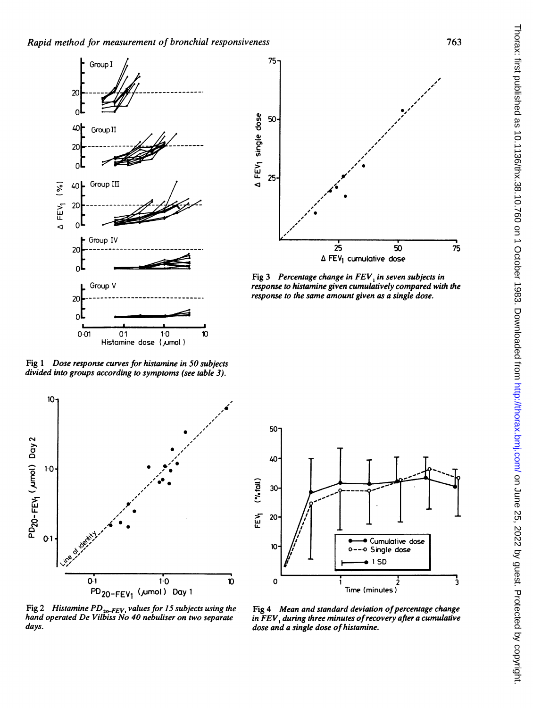

Fig 1 Dose response curves for histamine in 50 subjects divided into groups according to symptoms (see table 3).





Fig 3 Percentage change in  $FEV<sub>1</sub>$  in seven subjects in response to histamine given cumulatively compared with the response to the same amount given as a single dose.



Fig 2 Histamine  $PD_{20-FEV}$ , values for 15 subjects using the hand operated De Vilbiss No 40 nebuliser on two separate days.

Fig 4 Mean and standard deviation of percentage change in FEV, during three minutes of recovery after a cumulative dose and a single dose of histamine.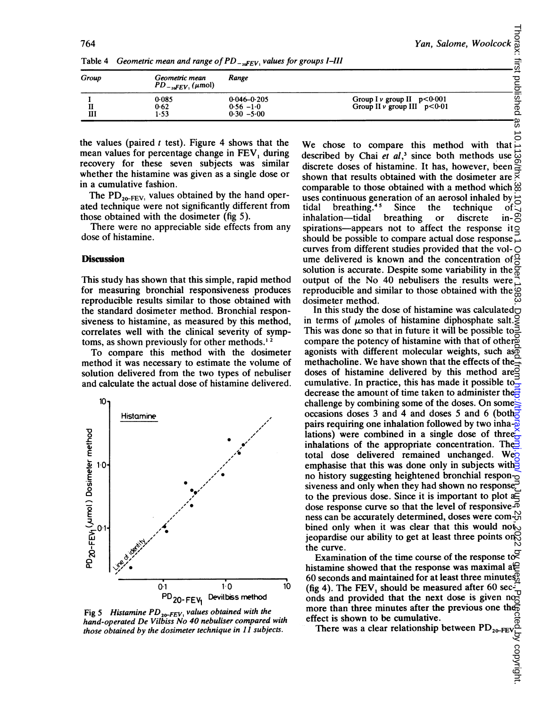| Table 4 |                                                                   | Geometric mean and range of PD <sub>-refry</sub> values for groups I-III | Yan, Salome, Woolcock $\frac{Q}{D}$                                       |
|---------|-------------------------------------------------------------------|--------------------------------------------------------------------------|---------------------------------------------------------------------------|
| Group   | Geometric mean<br>$PD_{\rightarrow \alpha FEV_1}(\mu \text{mol})$ | Range                                                                    |                                                                           |
| Ш       | 0.085<br>0.62<br>1.53                                             | $0.046 - 0.205$<br>$0.56 - 1.0$<br>$0.30 - 5.00$                         | Group I $\nu$ group II $p < 0.001$<br>Group II $\nu$ group III $p < 0.01$ |

Table 4 Geometric mean and range of  $PD_{\neg sFEV_1}$  values for groups I-III

the values (paired  $t$  test). Figure 4 shows that the mean values for percentage change in FEV, during recovery for these seven subjects was similar whether the histamine was given as a single dose or in a cumulative fashion.

The  $PD_{20-FEV_1}$  values obtained by the hand operated technique were not significantly different from those obtained with the dosimeter (fig 5).

There were no appreciable side effects from any dose of histamine.

#### **Discussion**

This study has shown that this simple, rapid method for measuring bronchial responsiveness produces reproducible results similar to those obtained with the standard dosimeter method. Bronchial responsiveness to histamine, as measured by this method, correlates well with the clinical severity of symptoms, as shown previously for other methods.' <sup>2</sup>

To compare this method with the dosimeter method it was necessary to estimate the volume of solution delivered from the two types of nebuliser and calculate the actual dose of histamine delivered.



Fig 5 Histamine  $PD_{20-FEV}$  values obtained with the hand-operated De Vilbiss No 40 nebuliser compared with those obtained by the dosimeter technique in 11 subjects.

described by Chai et  $al$ ,<sup>3</sup> since both methods use discrete doses of histamine. It has, however, been shown that results obtained with the dosimeter are comparable to those obtained with a method which  $\omega$ uses continuous generation of an aerosol inhaled by tidal breathing.<sup>45</sup> Since the technique inhalation-tidal breathing or discrete inspirations-appears not to affect the response it $q$ should be possible to compare actual dose response  $\leq$ curves from different studies provided that the vol- $\bigcirc$ ume delivered is known and the concentration of  $\frac{1}{2}$ solution is accurate. Despite some variability in the  $\overline{g}$ output of the No 40 nebulisers the results were output of the 150 Fe necessary the  $\frac{1}{20}$ <br>reproducible and similar to those obtained with the  $\frac{1}{20}$ dosimeter method.

In this study the dose of histamine was calculated $\Box$ in terms of  $\mu$ moles of histamine diphosphate salt. This was done so that in future it will be possible to  $\bar{P}$ compare the potency of histamine with that of other agonists with different molecular weights, such as methacholine. We have shown that the effects of the doses of histamine delivered by this method are $\vec{Q}$ cumulative. In practice, this has made it possible to decrease the amount of time taken to administer the challenge by combining some of the doses. On some occasions doses 3 and 4 and doses 5 and 6 (both $\frac{1}{6}$ ) pairs requiring one inhalation followed by two inha- $\overline{\phi}$ lations) were combined in a single dose of three inhalations of the appropriate concentration. The  $\frac{3}{2}$ total dose delivered remained unchanged. Weg emphasise that this was done only in subjects with  $\frac{1}{2}$ no history suggesting heightened bronchial respon- $\alpha$ siveness and only when they had shown no response. to the previous dose. Since it is important to plot  $a \equiv$ dose response curve so that the level of responsive- $\overline{\Phi}$ ness can be accurately determined, doses were com- $_{\text{cn}}^{\text{N}}$ bined only when it was clear that this would not jeopardise our ability to get at least three points on  $\heartsuit$ the curve. Thorax: first published as 10.1136/thx.38.10.760 on 1 October 1983. Downloaded from Duby published from the published as 10.1136. Popyright. Popyright.

Examination of the time course of the response to  $\overline{S}$ histamine showed that the response was maximal a $\oplus$ 60 seconds and maintained for at least three minutes ${}_{0}^{\circ}$ (fig 4). The FEV, should be measured after 60 sec- $\mathcal{I}$ (ng 4). The FEV<sub>1</sub> should be measured after obsection<br>onds and provided that the next dose is given not more than three minutes after the previous one the effect is shown to be cumulative.

There was a clear relationship between  $PD_{20-FEV}$